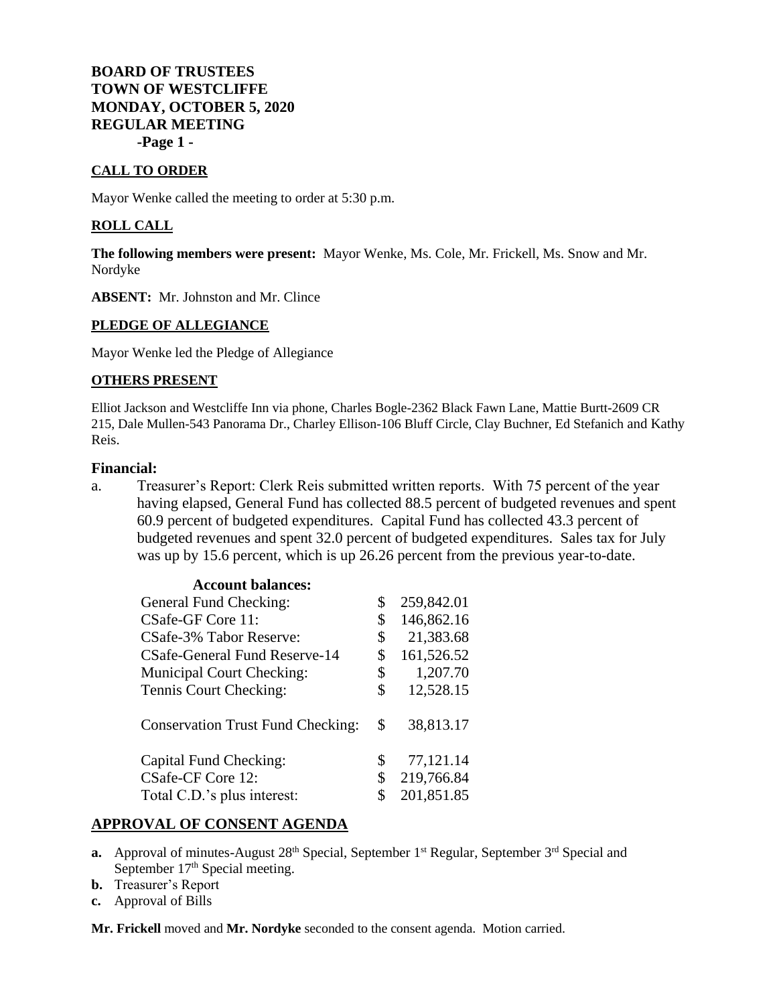# **BOARD OF TRUSTEES TOWN OF WESTCLIFFE MONDAY, OCTOBER 5, 2020 REGULAR MEETING -Page 1 -**

## **CALL TO ORDER**

Mayor Wenke called the meeting to order at 5:30 p.m.

### **ROLL CALL**

**The following members were present:** Mayor Wenke, Ms. Cole, Mr. Frickell, Ms. Snow and Mr. Nordyke

**ABSENT:** Mr. Johnston and Mr. Clince

## **PLEDGE OF ALLEGIANCE**

Mayor Wenke led the Pledge of Allegiance

## **OTHERS PRESENT**

Elliot Jackson and Westcliffe Inn via phone, Charles Bogle-2362 Black Fawn Lane, Mattie Burtt-2609 CR 215, Dale Mullen-543 Panorama Dr., Charley Ellison-106 Bluff Circle, Clay Buchner, Ed Stefanich and Kathy Reis.

## **Financial:**

a. Treasurer's Report: Clerk Reis submitted written reports. With 75 percent of the year having elapsed, General Fund has collected 88.5 percent of budgeted revenues and spent 60.9 percent of budgeted expenditures. Capital Fund has collected 43.3 percent of budgeted revenues and spent 32.0 percent of budgeted expenditures. Sales tax for July was up by 15.6 percent, which is up 26.26 percent from the previous year-to-date.

| \$ | 259,842.01 |
|----|------------|
| \$ | 146,862.16 |
| \$ | 21,383.68  |
| \$ | 161,526.52 |
| \$ | 1,207.70   |
| \$ | 12,528.15  |
| \$ | 38,813.17  |
| \$ | 77,121.14  |
| \$ | 219,766.84 |
| S  | 201,851.85 |
|    |            |

## **APPROVAL OF CONSENT AGENDA**

- **a.** Approval of minutes-August 28<sup>th</sup> Special, September 1<sup>st</sup> Regular, September 3<sup>rd</sup> Special and September 17<sup>th</sup> Special meeting.
- **b.** Treasurer's Report
- **c.** Approval of Bills

**Mr. Frickell** moved and **Mr. Nordyke** seconded to the consent agenda. Motion carried.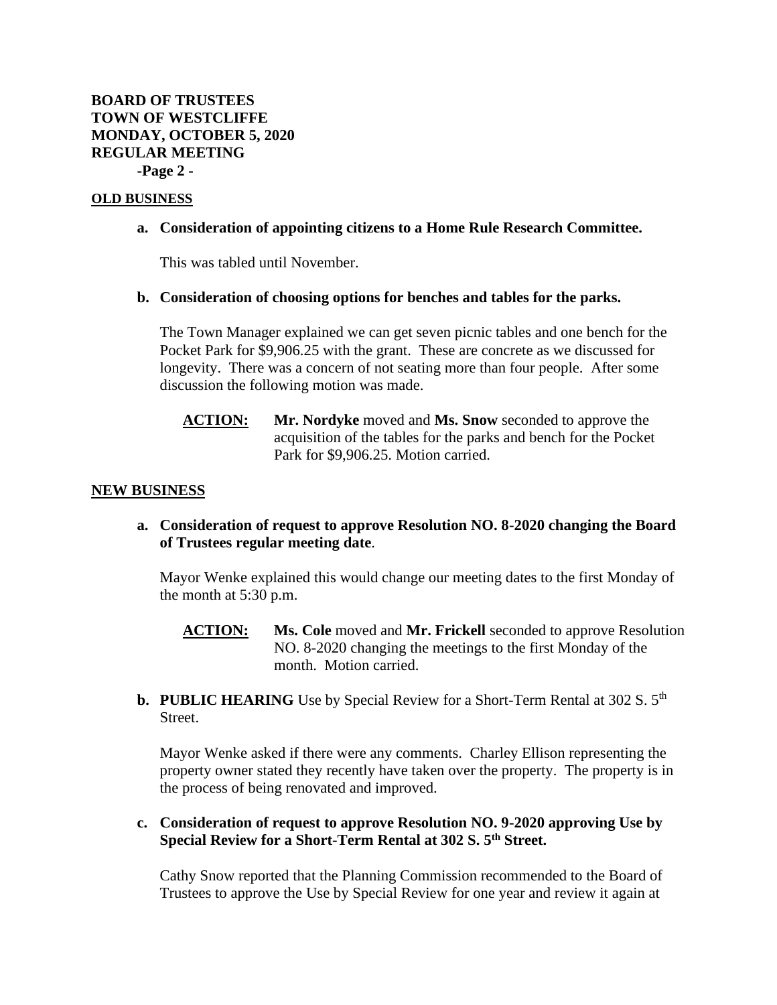## **OLD BUSINESS**

## **a. Consideration of appointing citizens to a Home Rule Research Committee.**

This was tabled until November.

## **b. Consideration of choosing options for benches and tables for the parks.**

The Town Manager explained we can get seven picnic tables and one bench for the Pocket Park for \$9,906.25 with the grant. These are concrete as we discussed for longevity. There was a concern of not seating more than four people. After some discussion the following motion was made.

**ACTION: Mr. Nordyke** moved and **Ms. Snow** seconded to approve the acquisition of the tables for the parks and bench for the Pocket Park for \$9,906.25. Motion carried.

## **NEW BUSINESS**

# **a. Consideration of request to approve Resolution NO. 8-2020 changing the Board of Trustees regular meeting date**.

Mayor Wenke explained this would change our meeting dates to the first Monday of the month at 5:30 p.m.

- **ACTION: Ms. Cole** moved and **Mr. Frickell** seconded to approve Resolution NO. 8-2020 changing the meetings to the first Monday of the month. Motion carried.
- **b. PUBLIC HEARING** Use by Special Review for a Short-Term Rental at 302 S. 5<sup>th</sup> Street.

Mayor Wenke asked if there were any comments. Charley Ellison representing the property owner stated they recently have taken over the property. The property is in the process of being renovated and improved.

## **c. Consideration of request to approve Resolution NO. 9-2020 approving Use by Special Review for a Short-Term Rental at 302 S. 5th Street.**

Cathy Snow reported that the Planning Commission recommended to the Board of Trustees to approve the Use by Special Review for one year and review it again at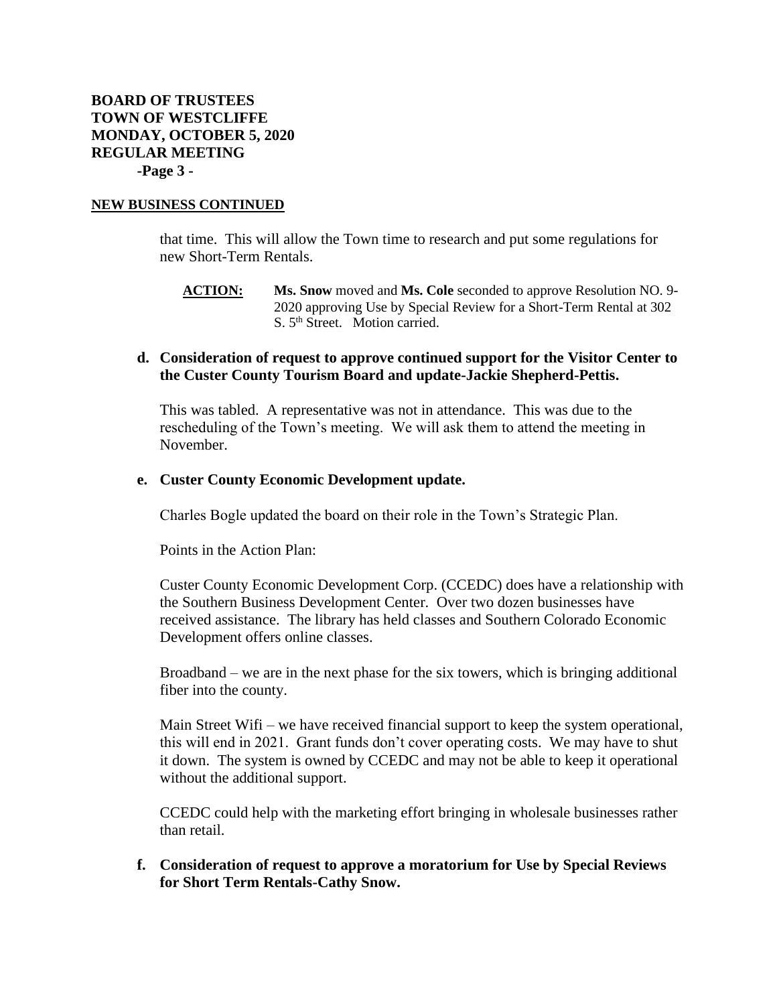#### **NEW BUSINESS CONTINUED**

that time. This will allow the Town time to research and put some regulations for new Short-Term Rentals.

**ACTION: Ms. Snow** moved and **Ms. Cole** seconded to approve Resolution NO. 9- 2020 approving Use by Special Review for a Short-Term Rental at 302 S. 5<sup>th</sup> Street. Motion carried.

## **d. Consideration of request to approve continued support for the Visitor Center to the Custer County Tourism Board and update-Jackie Shepherd-Pettis.**

This was tabled. A representative was not in attendance. This was due to the rescheduling of the Town's meeting. We will ask them to attend the meeting in November.

#### **e. Custer County Economic Development update.**

Charles Bogle updated the board on their role in the Town's Strategic Plan.

Points in the Action Plan:

Custer County Economic Development Corp. (CCEDC) does have a relationship with the Southern Business Development Center. Over two dozen businesses have received assistance. The library has held classes and Southern Colorado Economic Development offers online classes.

Broadband – we are in the next phase for the six towers, which is bringing additional fiber into the county.

Main Street Wifi – we have received financial support to keep the system operational, this will end in 2021. Grant funds don't cover operating costs. We may have to shut it down. The system is owned by CCEDC and may not be able to keep it operational without the additional support.

CCEDC could help with the marketing effort bringing in wholesale businesses rather than retail.

**f. Consideration of request to approve a moratorium for Use by Special Reviews for Short Term Rentals-Cathy Snow.**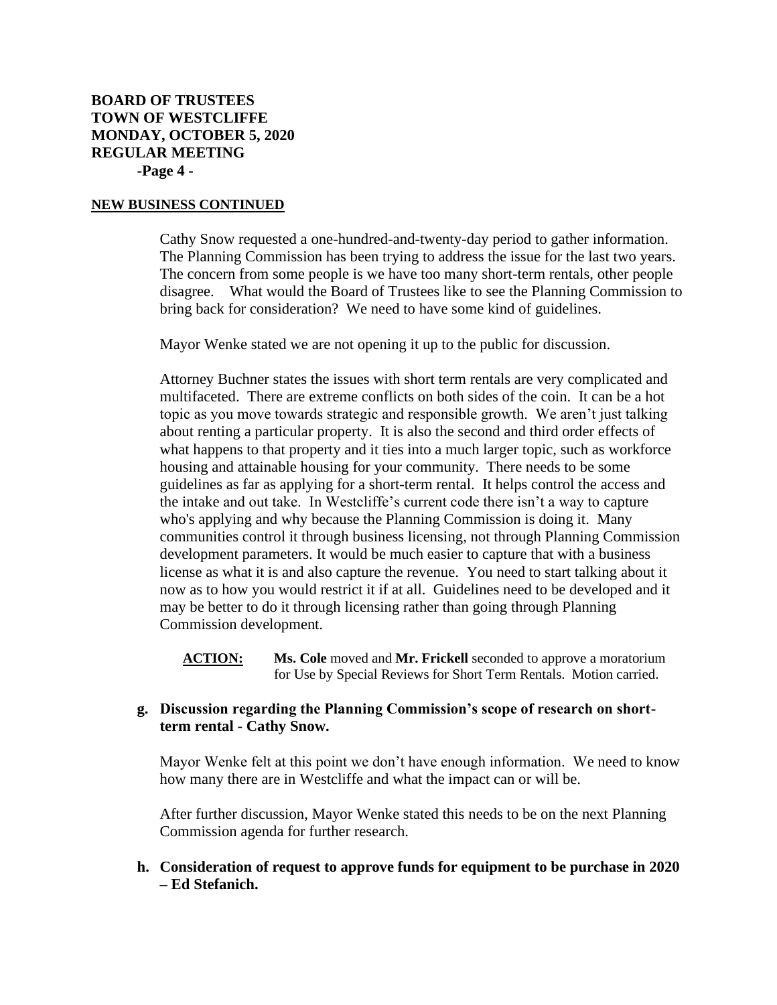# **BOARD OF TRUSTEES TOWN OF WESTCLIFFE MONDAY, OCTOBER 5, 2020 REGULAR MEETING -Page 4 -**

#### **NEW BUSINESS CONTINUED**

Cathy Snow requested a one-hundred-and-twenty-day period to gather information. The Planning Commission has been trying to address the issue for the last two years. The concern from some people is we have too many short-term rentals, other people disagree. What would the Board of Trustees like to see the Planning Commission to bring back for consideration? We need to have some kind of guidelines.

Mayor Wenke stated we are not opening it up to the public for discussion.

Attorney Buchner states the issues with short term rentals are very complicated and multifaceted. There are extreme conflicts on both sides of the coin. It can be a hot topic as you move towards strategic and responsible growth. We aren't just talking about renting a particular property. It is also the second and third order effects of what happens to that property and it ties into a much larger topic, such as workforce housing and attainable housing for your community. There needs to be some guidelines as far as applying for a short-term rental. It helps control the access and the intake and out take. In Westcliffe's current code there isn't a way to capture who's applying and why because the Planning Commission is doing it. Many communities control it through business licensing, not through Planning Commission development parameters. It would be much easier to capture that with a business license as what it is and also capture the revenue. You need to start talking about it now as to how you would restrict it if at all. Guidelines need to be developed and it may be better to do it through licensing rather than going through Planning Commission development.

**ACTION: Ms. Cole** moved and **Mr. Frickell** seconded to approve a moratorium for Use by Special Reviews for Short Term Rentals. Motion carried.

# **g. Discussion regarding the Planning Commission's scope of research on shortterm rental - Cathy Snow.**

Mayor Wenke felt at this point we don't have enough information. We need to know how many there are in Westcliffe and what the impact can or will be.

After further discussion, Mayor Wenke stated this needs to be on the next Planning Commission agenda for further research.

## **h. Consideration of request to approve funds for equipment to be purchase in 2020 – Ed Stefanich.**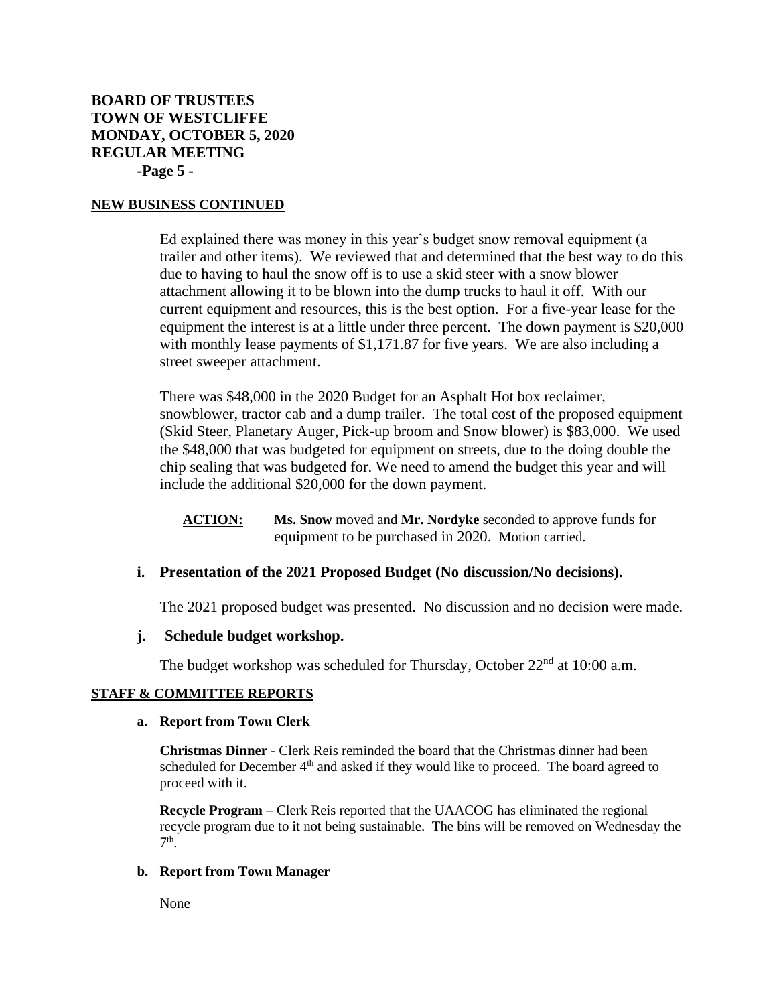# **BOARD OF TRUSTEES TOWN OF WESTCLIFFE MONDAY, OCTOBER 5, 2020 REGULAR MEETING -Page 5 -**

#### **NEW BUSINESS CONTINUED**

Ed explained there was money in this year's budget snow removal equipment (a trailer and other items). We reviewed that and determined that the best way to do this due to having to haul the snow off is to use a skid steer with a snow blower attachment allowing it to be blown into the dump trucks to haul it off. With our current equipment and resources, this is the best option. For a five-year lease for the equipment the interest is at a little under three percent. The down payment is \$20,000 with monthly lease payments of \$1,171.87 for five years. We are also including a street sweeper attachment.

There was \$48,000 in the 2020 Budget for an Asphalt Hot box reclaimer, snowblower, tractor cab and a dump trailer. The total cost of the proposed equipment (Skid Steer, Planetary Auger, Pick-up broom and Snow blower) is \$83,000. We used the \$48,000 that was budgeted for equipment on streets, due to the doing double the chip sealing that was budgeted for. We need to amend the budget this year and will include the additional \$20,000 for the down payment.

**ACTION: Ms. Snow** moved and **Mr. Nordyke** seconded to approve funds for equipment to be purchased in 2020. Motion carried.

## **i. Presentation of the 2021 Proposed Budget (No discussion/No decisions).**

The 2021 proposed budget was presented. No discussion and no decision were made.

## **j. Schedule budget workshop.**

The budget workshop was scheduled for Thursday, October  $22<sup>nd</sup>$  at 10:00 a.m.

## **STAFF & COMMITTEE REPORTS**

#### **a. Report from Town Clerk**

**Christmas Dinner** - Clerk Reis reminded the board that the Christmas dinner had been scheduled for December 4<sup>th</sup> and asked if they would like to proceed. The board agreed to proceed with it.

**Recycle Program** – Clerk Reis reported that the UAACOG has eliminated the regional recycle program due to it not being sustainable. The bins will be removed on Wednesday the 7 th .

## **b. Report from Town Manager**

None